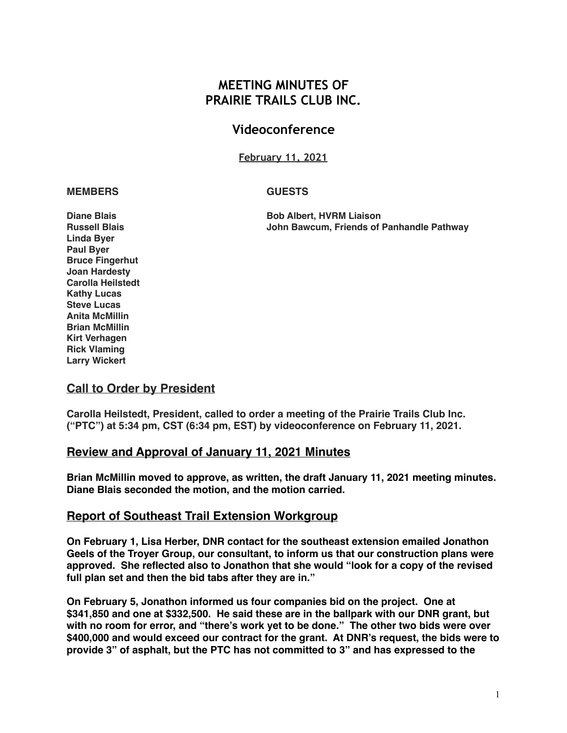## **MEETING MINUTES OF PRAIRIE TRAILS CLUB INC.**

## **Videoconference**

**February 11, 2021**

#### **MEMBERS GUESTS**

**Diane Blais Bob Albert, HVRM Liaison Russell Blais John Bawcum, Friends of Panhandle Pathway**

**Linda Byer Paul Byer Bruce Fingerhut Joan Hardesty Carolla Heilstedt Kathy Lucas Steve Lucas Anita McMillin Brian McMillin Kirt Verhagen Rick Vlaming Larry Wickert**

#### **Call to Order by President**

**Carolla Heilstedt, President, called to order a meeting of the Prairie Trails Club Inc. ("PTC") at 5:34 pm, CST (6:34 pm, EST) by videoconference on February 11, 2021.** 

### **Review and Approval of January 11, 2021 Minutes**

**Brian McMillin moved to approve, as written, the draft January 11, 2021 meeting minutes. Diane Blais seconded the motion, and the motion carried.**

### **Report of Southeast Trail Extension Workgroup**

**On February 1, Lisa Herber, DNR contact for the southeast extension emailed Jonathon Geels of the Troyer Group, our consultant, to inform us that our construction plans were approved. She reflected also to Jonathon that she would "look for a copy of the revised full plan set and then the bid tabs after they are in."**

**On February 5, Jonathon informed us four companies bid on the project. One at \$341,850 and one at \$332,500. He said these are in the ballpark with our DNR grant, but with no room for error, and "there's work yet to be done." The other two bids were over \$400,000 and would exceed our contract for the grant. At DNR's request, the bids were to provide 3" of asphalt, but the PTC has not committed to 3" and has expressed to the**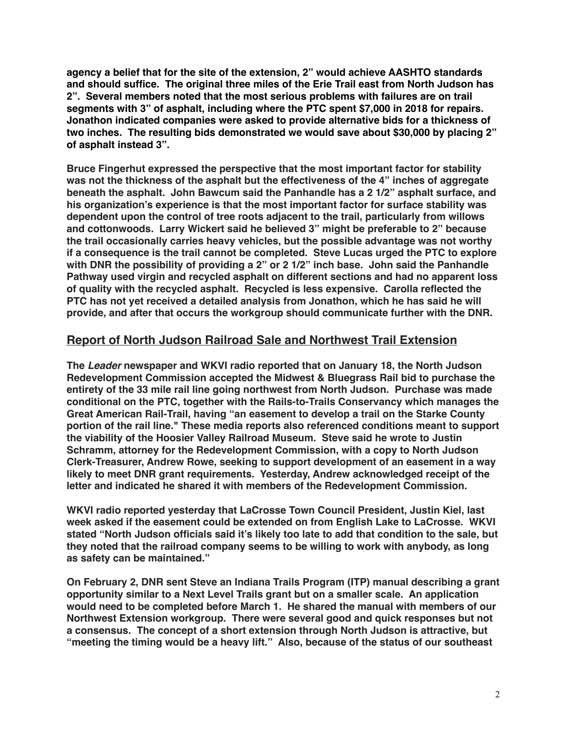**agency a belief that for the site of the extension, 2" would achieve AASHTO standards and should suffice. The original three miles of the Erie Trail east from North Judson has 2". Several members noted that the most serious problems with failures are on trail segments with 3" of asphalt, including where the PTC spent \$7,000 in 2018 for repairs. Jonathon indicated companies were asked to provide alternative bids for a thickness of two inches. The resulting bids demonstrated we would save about \$30,000 by placing 2" of asphalt instead 3".** 

**Bruce Fingerhut expressed the perspective that the most important factor for stability was not the thickness of the asphalt but the effectiveness of the 4" inches of aggregate beneath the asphalt. John Bawcum said the Panhandle has a 2 1/2" asphalt surface, and his organization's experience is that the most important factor for surface stability was dependent upon the control of tree roots adjacent to the trail, particularly from willows and cottonwoods. Larry Wickert said he believed 3" might be preferable to 2" because the trail occasionally carries heavy vehicles, but the possible advantage was not worthy if a consequence is the trail cannot be completed. Steve Lucas urged the PTC to explore with DNR the possibility of providing a 2" or 2 1/2" inch base. John said the Panhandle Pathway used virgin and recycled asphalt on different sections and had no apparent loss of quality with the recycled asphalt. Recycled is less expensive. Carolla reflected the PTC has not yet received a detailed analysis from Jonathon, which he has said he will provide, and after that occurs the workgroup should communicate further with the DNR.**

## **Report of North Judson Railroad Sale and Northwest Trail Extension**

**The** *Leader* **newspaper and WKVI radio reported that on January 18, the North Judson Redevelopment Commission accepted the Midwest & Bluegrass Rail bid to purchase the entirety of the 33 mile rail line going northwest from North Judson. Purchase was made conditional on the PTC, together with the Rails-to-Trails Conservancy which manages the Great American Rail-Trail, having "an easement to develop a trail on the Starke County portion of the rail line." These media reports also referenced conditions meant to support the viability of the Hoosier Valley Railroad Museum. Steve said he wrote to Justin Schramm, attorney for the Redevelopment Commission, with a copy to North Judson Clerk-Treasurer, Andrew Rowe, seeking to support development of an easement in a way likely to meet DNR grant requirements. Yesterday, Andrew acknowledged receipt of the letter and indicated he shared it with members of the Redevelopment Commission.**

**WKVI radio reported yesterday that LaCrosse Town Council President, Justin Kiel, last week asked if the easement could be extended on from English Lake to LaCrosse. WKVI stated "North Judson officials said it's likely too late to add that condition to the sale, but they noted that the railroad company seems to be willing to work with anybody, as long as safety can be maintained."**

**On February 2, DNR sent Steve an Indiana Trails Program (ITP) manual describing a grant opportunity similar to a Next Level Trails grant but on a smaller scale. An application would need to be completed before March 1. He shared the manual with members of our Northwest Extension workgroup. There were several good and quick responses but not a consensus. The concept of a short extension through North Judson is attractive, but "meeting the timing would be a heavy lift." Also, because of the status of our southeast**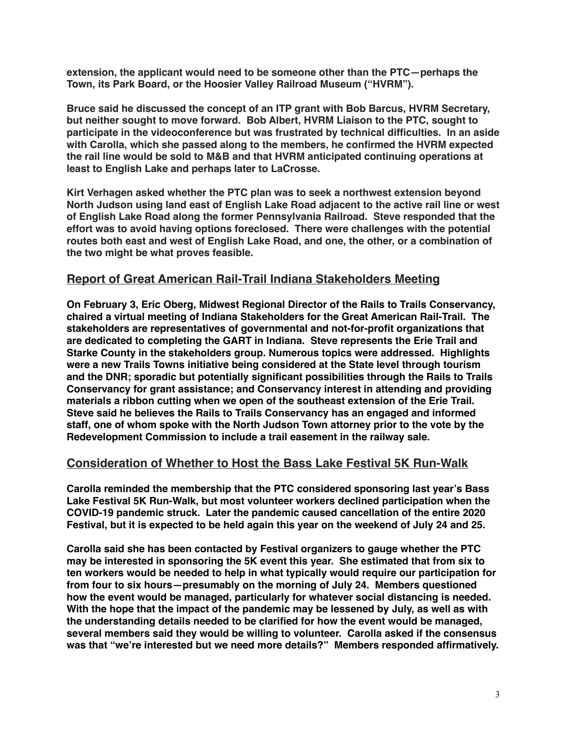**extension, the applicant would need to be someone other than the PTC—perhaps the Town, its Park Board, or the Hoosier Valley Railroad Museum ("HVRM").** 

**Bruce said he discussed the concept of an ITP grant with Bob Barcus, HVRM Secretary, but neither sought to move forward. Bob Albert, HVRM Liaison to the PTC, sought to participate in the videoconference but was frustrated by technical difficulties. In an aside with Carolla, which she passed along to the members, he confirmed the HVRM expected the rail line would be sold to M&B and that HVRM anticipated continuing operations at least to English Lake and perhaps later to LaCrosse.**

**Kirt Verhagen asked whether the PTC plan was to seek a northwest extension beyond North Judson using land east of English Lake Road adjacent to the active rail line or west of English Lake Road along the former Pennsylvania Railroad. Steve responded that the effort was to avoid having options foreclosed. There were challenges with the potential routes both east and west of English Lake Road, and one, the other, or a combination of the two might be what proves feasible.**

## **Report of Great American Rail-Trail Indiana Stakeholders Meeting**

**On February 3, Eric Oberg, Midwest Regional Director of the Rails to Trails Conservancy, chaired a virtual meeting of Indiana Stakeholders for the Great American Rail-Trail. The stakeholders are representatives of governmental and not-for-profit organizations that are dedicated to completing the GART in Indiana. Steve represents the Erie Trail and Starke County in the stakeholders group. Numerous topics were addressed. Highlights were a new Trails Towns initiative being considered at the State level through tourism and the DNR; sporadic but potentially significant possibilities through the Rails to Trails Conservancy for grant assistance; and Conservancy interest in attending and providing materials a ribbon cutting when we open of the southeast extension of the Erie Trail. Steve said he believes the Rails to Trails Conservancy has an engaged and informed staff, one of whom spoke with the North Judson Town attorney prior to the vote by the Redevelopment Commission to include a trail easement in the railway sale.**

## **Consideration of Whether to Host the Bass Lake Festival 5K Run-Walk**

**Carolla reminded the membership that the PTC considered sponsoring last year's Bass Lake Festival 5K Run-Walk, but most volunteer workers declined participation when the COVID-19 pandemic struck. Later the pandemic caused cancellation of the entire 2020 Festival, but it is expected to be held again this year on the weekend of July 24 and 25.**

**Carolla said she has been contacted by Festival organizers to gauge whether the PTC may be interested in sponsoring the 5K event this year. She estimated that from six to ten workers would be needed to help in what typically would require our participation for from four to six hours—presumably on the morning of July 24. Members questioned how the event would be managed, particularly for whatever social distancing is needed. With the hope that the impact of the pandemic may be lessened by July, as well as with the understanding details needed to be clarified for how the event would be managed, several members said they would be willing to volunteer. Carolla asked if the consensus was that "we're interested but we need more details?" Members responded affirmatively.**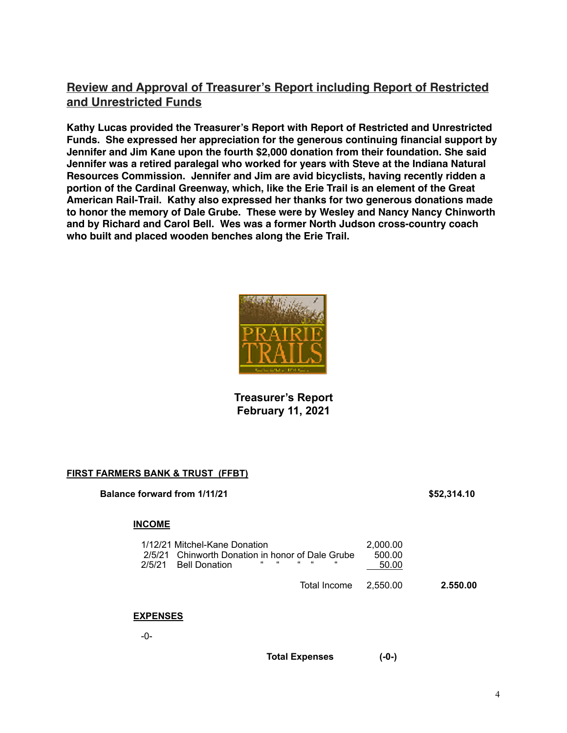## **Review and Approval of Treasurer's Report including Report of Restricted and Unrestricted Funds**

**Kathy Lucas provided the Treasurer's Report with Report of Restricted and Unrestricted Funds. She expressed her appreciation for the generous continuing financial support by Jennifer and Jim Kane upon the fourth \$2,000 donation from their foundation. She said Jennifer was a retired paralegal who worked for years with Steve at the Indiana Natural Resources Commission. Jennifer and Jim are avid bicyclists, having recently ridden a portion of the Cardinal Greenway, which, like the Erie Trail is an element of the Great American Rail-Trail. Kathy also expressed her thanks for two generous donations made to honor the memory of Dale Grube. These were by Wesley and Nancy Nancy Chinworth and by Richard and Carol Bell. Wes was a former North Judson cross-country coach who built and placed wooden benches along the Erie Trail.**



### **Treasurer's Report February 11, 2021**

#### **FIRST FARMERS BANK & TRUST (FFBT)**

#### **Balance forward from 1/11/21 \$52,314.10**

#### **INCOME**

| 1/12/21 Mitchel-Kane Donation<br>2/5/21 Chinworth Donation in honor of Dale Grube<br>$\overline{a}$ , and the set of $\overline{a}$<br>2/5/21 Bell Donation | $\epsilon$ , $\epsilon$ , $\epsilon$<br>" | 2.000.00<br>500.00<br>50.00 |          |
|-------------------------------------------------------------------------------------------------------------------------------------------------------------|-------------------------------------------|-----------------------------|----------|
|                                                                                                                                                             | Total Income 2.550.00                     |                             | 2.550.00 |

#### **EXPENSES**

-0-

**Total Expenses (-0-)**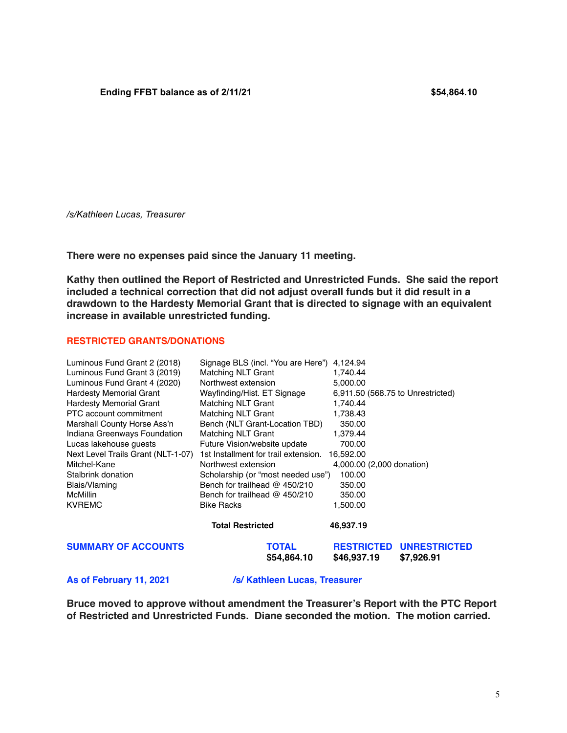*/s/Kathleen Lucas, Treasurer* 

**There were no expenses paid since the January 11 meeting.**

**Kathy then outlined the Report of Restricted and Unrestricted Funds. She said the report included a technical correction that did not adjust overall funds but it did result in a drawdown to the Hardesty Memorial Grant that is directed to signage with an equivalent increase in available unrestricted funding.** 

#### **RESTRICTED GRANTS/DONATIONS**

| Luminous Fund Grant 2 (2018)       | Signage BLS (incl. "You are Here") 4,124.94 |                                  |                                   |
|------------------------------------|---------------------------------------------|----------------------------------|-----------------------------------|
| Luminous Fund Grant 3 (2019)       | Matching NLT Grant                          | 1,740.44                         |                                   |
| Luminous Fund Grant 4 (2020)       | Northwest extension                         | 5,000.00                         |                                   |
| <b>Hardesty Memorial Grant</b>     | Wayfinding/Hist. ET Signage                 |                                  | 6,911.50 (568.75 to Unrestricted) |
| <b>Hardesty Memorial Grant</b>     | <b>Matching NLT Grant</b>                   | 1,740.44                         |                                   |
| PTC account commitment             | <b>Matching NLT Grant</b>                   | 1,738.43                         |                                   |
| Marshall County Horse Ass'n        | Bench (NLT Grant-Location TBD)              | 350.00                           |                                   |
| Indiana Greenways Foundation       | <b>Matching NLT Grant</b>                   | 1,379.44                         |                                   |
| Lucas lakehouse quests             | Future Vision/website update                | 700.00                           |                                   |
| Next Level Trails Grant (NLT-1-07) | 1st Installment for trail extension.        | 16,592.00                        |                                   |
| Mitchel-Kane                       | Northwest extension                         | 4,000.00 (2,000 donation)        |                                   |
| Stalbrink donation                 | Scholarship (or "most needed use")          | 100.00                           |                                   |
| Blais/Vlaming                      | Bench for trailhead @ 450/210               | 350.00                           |                                   |
| <b>McMillin</b>                    | Bench for trailhead $@$ 450/210             | 350.00                           |                                   |
| <b>KVREMC</b>                      | <b>Bike Racks</b>                           | 1,500.00                         |                                   |
|                                    | <b>Total Restricted</b>                     | 46,937.19                        |                                   |
| <b>SUMMARY OF ACCOUNTS</b>         | TOTAL<br>\$54,864.10                        | <b>RESTRICTED</b><br>\$46,937.19 | <b>UNRESTRICTED</b><br>\$7,926.91 |

As of February 11, 2021 /s/ Kathleen Lucas, Treasurer

**Bruce moved to approve without amendment the Treasurer's Report with the PTC Report of Restricted and Unrestricted Funds. Diane seconded the motion. The motion carried.**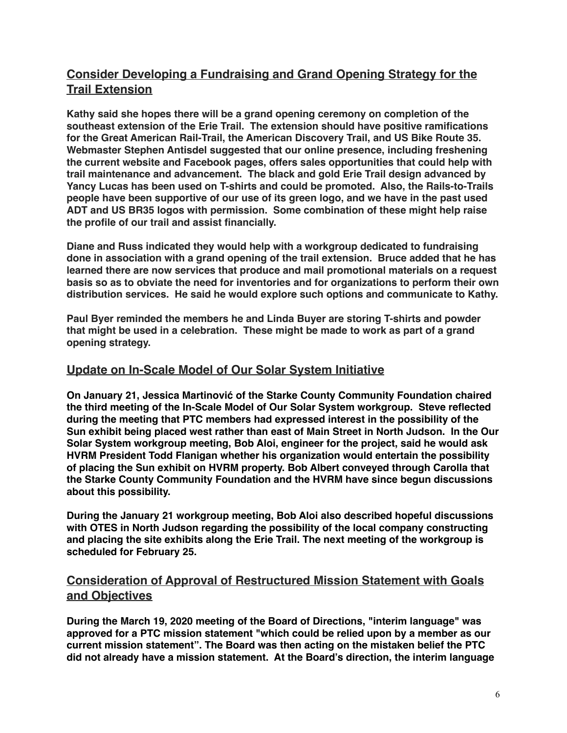## **Consider Developing a Fundraising and Grand Opening Strategy for the Trail Extension**

**Kathy said she hopes there will be a grand opening ceremony on completion of the southeast extension of the Erie Trail. The extension should have positive ramifications for the Great American Rail-Trail, the American Discovery Trail, and US Bike Route 35. Webmaster Stephen Antisdel suggested that our online presence, including freshening the current website and Facebook pages, offers sales opportunities that could help with trail maintenance and advancement. The black and gold Erie Trail design advanced by Yancy Lucas has been used on T-shirts and could be promoted. Also, the Rails-to-Trails people have been supportive of our use of its green logo, and we have in the past used ADT and US BR35 logos with permission. Some combination of these might help raise the profile of our trail and assist financially.**

**Diane and Russ indicated they would help with a workgroup dedicated to fundraising done in association with a grand opening of the trail extension. Bruce added that he has learned there are now services that produce and mail promotional materials on a request basis so as to obviate the need for inventories and for organizations to perform their own distribution services. He said he would explore such options and communicate to Kathy.**

**Paul Byer reminded the members he and Linda Buyer are storing T-shirts and powder that might be used in a celebration. These might be made to work as part of a grand opening strategy.**

## **Update on In-Scale Model of Our Solar System Initiative**

**On January 21, Jessica Martinović of the Starke County Community Foundation chaired the third meeting of the In-Scale Model of Our Solar System workgroup. Steve reflected during the meeting that PTC members had expressed interest in the possibility of the Sun exhibit being placed west rather than east of Main Street in North Judson. In the Our Solar System workgroup meeting, Bob Aloi, engineer for the project, said he would ask HVRM President Todd Flanigan whether his organization would entertain the possibility of placing the Sun exhibit on HVRM property. Bob Albert conveyed through Carolla that the Starke County Community Foundation and the HVRM have since begun discussions about this possibility.** 

**During the January 21 workgroup meeting, Bob Aloi also described hopeful discussions with OTES in North Judson regarding the possibility of the local company constructing and placing the site exhibits along the Erie Trail. The next meeting of the workgroup is scheduled for February 25.** 

## **Consideration of Approval of Restructured Mission Statement with Goals and Objectives**

**During the March 19, 2020 meeting of the Board of Directions, "interim language" was approved for a PTC mission statement "which could be relied upon by a member as our current mission statement". The Board was then acting on the mistaken belief the PTC did not already have a mission statement. At the Board's direction, the interim language**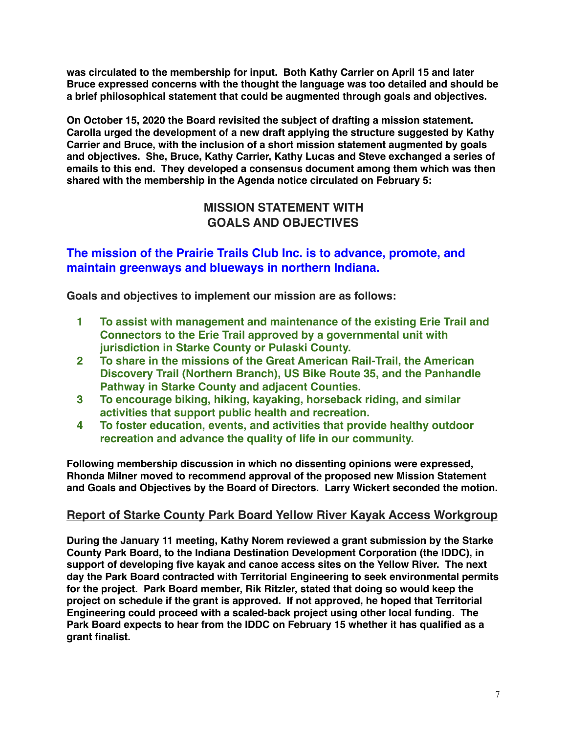**was circulated to the membership for input. Both Kathy Carrier on April 15 and later Bruce expressed concerns with the thought the language was too detailed and should be a brief philosophical statement that could be augmented through goals and objectives.** 

**On October 15, 2020 the Board revisited the subject of drafting a mission statement. Carolla urged the development of a new draft applying the structure suggested by Kathy Carrier and Bruce, with the inclusion of a short mission statement augmented by goals and objectives. She, Bruce, Kathy Carrier, Kathy Lucas and Steve exchanged a series of emails to this end. They developed a consensus document among them which was then shared with the membership in the Agenda notice circulated on February 5:** 

## **MISSION STATEMENT WITH GOALS AND OBJECTIVES**

## **The mission of the Prairie Trails Club Inc. is to advance, promote, and maintain greenways and blueways in northern Indiana.**

**Goals and objectives to implement our mission are as follows:**

- **1 To assist with management and maintenance of the existing Erie Trail and Connectors to the Erie Trail approved by a governmental unit with jurisdiction in Starke County or Pulaski County.**
- **2 To share in the missions of the Great American Rail-Trail, the American Discovery Trail (Northern Branch), US Bike Route 35, and the Panhandle Pathway in Starke County and adjacent Counties.**
- **3 To encourage biking, hiking, kayaking, horseback riding, and similar activities that support public health and recreation.**
- **4 To foster education, events, and activities that provide healthy outdoor recreation and advance the quality of life in our community.**

**Following membership discussion in which no dissenting opinions were expressed, Rhonda Milner moved to recommend approval of the proposed new Mission Statement and Goals and Objectives by the Board of Directors. Larry Wickert seconded the motion.**

## **Report of Starke County Park Board Yellow River Kayak Access Workgroup**

**During the January 11 meeting, Kathy Norem reviewed a grant submission by the Starke County Park Board, to the Indiana Destination Development Corporation (the IDDC), in support of developing five kayak and canoe access sites on the Yellow River. The next day the Park Board contracted with Territorial Engineering to seek environmental permits for the project. Park Board member, Rik Ritzler, stated that doing so would keep the project on schedule if the grant is approved. If not approved, he hoped that Territorial Engineering could proceed with a scaled-back project using other local funding. The Park Board expects to hear from the IDDC on February 15 whether it has qualified as a grant finalist.**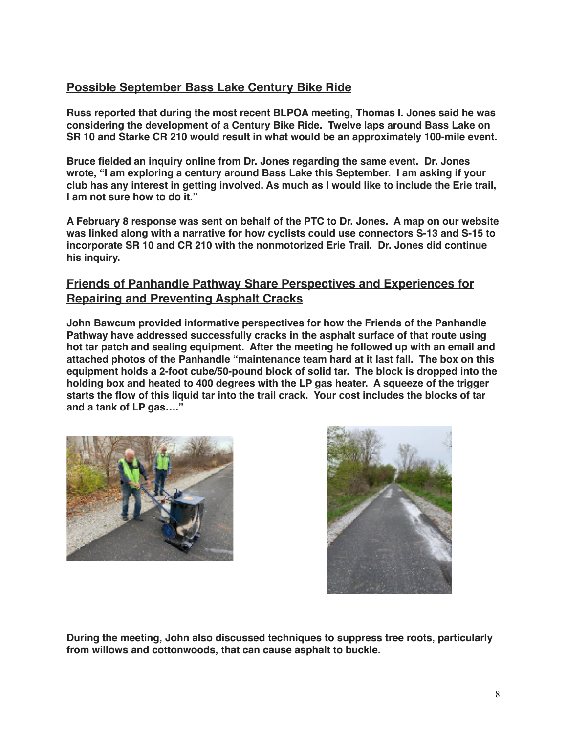## **Possible September Bass Lake Century Bike Ride**

**Russ reported that during the most recent BLPOA meeting, Thomas I. Jones said he was considering the development of a Century Bike Ride. Twelve laps around Bass Lake on SR 10 and Starke CR 210 would result in what would be an approximately 100-mile event.** 

**Bruce fielded an inquiry online from Dr. Jones regarding the same event. Dr. Jones wrote, "I am exploring a century around Bass Lake this September. I am asking if your club has any interest in getting involved. As much as I would like to include the Erie trail, I am not sure how to do it."**

**A February 8 response was sent on behalf of the PTC to Dr. Jones. A map on our website was linked along with a narrative for how cyclists could use connectors S-13 and S-15 to incorporate SR 10 and CR 210 with the nonmotorized Erie Trail. Dr. Jones did continue his inquiry.**

## **Friends of Panhandle Pathway Share Perspectives and Experiences for Repairing and Preventing Asphalt Cracks**

**John Bawcum provided informative perspectives for how the Friends of the Panhandle Pathway have addressed successfully cracks in the asphalt surface of that route using hot tar patch and sealing equipment. After the meeting he followed up with an email and attached photos of the Panhandle "maintenance team hard at it last fall. The box on this equipment holds a 2-foot cube/50-pound block of solid tar. The block is dropped into the holding box and heated to 400 degrees with the LP gas heater. A squeeze of the trigger starts the flow of this liquid tar into the trail crack. Your cost includes the blocks of tar and a tank of LP gas…."**





**During the meeting, John also discussed techniques to suppress tree roots, particularly from willows and cottonwoods, that can cause asphalt to buckle.**